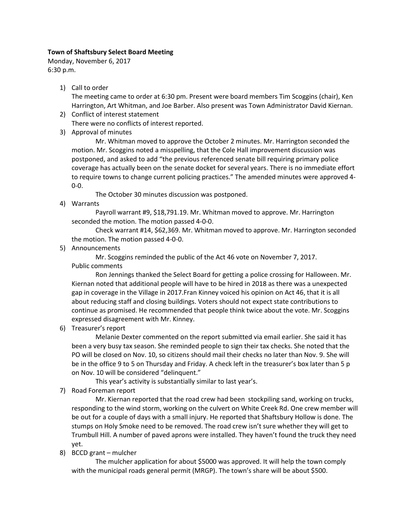## **Town of Shaftsbury Select Board Meeting**

Monday, November 6, 2017 6:30 p.m.

1) Call to order

The meeting came to order at 6:30 pm. Present were board members Tim Scoggins (chair), Ken Harrington, Art Whitman, and Joe Barber. Also present was Town Administrator David Kiernan.

- 2) Conflict of interest statement There were no conflicts of interest reported.
- 3) Approval of minutes

Mr. Whitman moved to approve the October 2 minutes. Mr. Harrington seconded the motion. Mr. Scoggins noted a misspelling, that the Cole Hall improvement discussion was postponed, and asked to add "the previous referenced senate bill requiring primary police coverage has actually been on the senate docket for several years. There is no immediate effort to require towns to change current policing practices." The amended minutes were approved 4- 0-0.

The October 30 minutes discussion was postponed.

4) Warrants

Payroll warrant #9, \$18,791.19. Mr. Whitman moved to approve. Mr. Harrington seconded the motion. The motion passed 4-0-0.

Check warrant #14, \$62,369. Mr. Whitman moved to approve. Mr. Harrington seconded the motion. The motion passed 4-0-0.

5) Announcements

Mr. Scoggins reminded the public of the Act 46 vote on November 7, 2017. Public comments

Ron Jennings thanked the Select Board for getting a police crossing for Halloween. Mr. Kiernan noted that additional people will have to be hired in 2018 as there was a unexpected gap in coverage in the Village in 2017.Fran Kinney voiced his opinion on Act 46, that it is all about reducing staff and closing buildings. Voters should not expect state contributions to continue as promised. He recommended that people think twice about the vote. Mr. Scoggins expressed disagreement with Mr. Kinney.

6) Treasurer's report

Melanie Dexter commented on the report submitted via email earlier. She said it has been a very busy tax season. She reminded people to sign their tax checks. She noted that the PO will be closed on Nov. 10, so citizens should mail their checks no later than Nov. 9. She will be in the office 9 to 5 on Thursday and Friday. A check left in the treasurer's box later than 5 p on Nov. 10 will be considered "delinquent."

This year's activity is substantially similar to last year's.

7) Road Foreman report

Mr. Kiernan reported that the road crew had been stockpiling sand, working on trucks, responding to the wind storm, working on the culvert on White Creek Rd. One crew member will be out for a couple of days with a small injury. He reported that Shaftsbury Hollow is done. The stumps on Holy Smoke need to be removed. The road crew isn't sure whether they will get to Trumbull Hill. A number of paved aprons were installed. They haven't found the truck they need yet.

8) BCCD grant – mulcher

The mulcher application for about \$5000 was approved. It will help the town comply with the municipal roads general permit (MRGP). The town's share will be about \$500.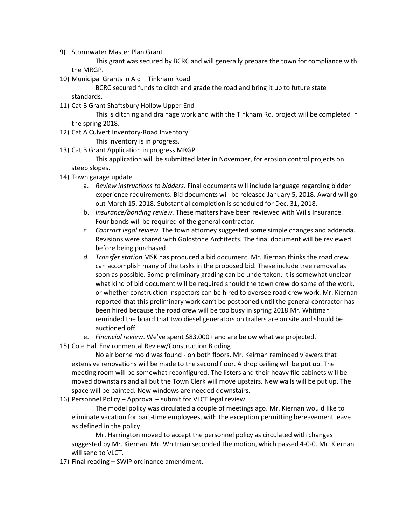9) Stormwater Master Plan Grant

This grant was secured by BCRC and will generally prepare the town for compliance with the MRGP.

10) Municipal Grants in Aid – Tinkham Road

BCRC secured funds to ditch and grade the road and bring it up to future state standards.

11) Cat B Grant Shaftsbury Hollow Upper End

This is ditching and drainage work and with the Tinkham Rd. project will be completed in the spring 2018.

12) Cat A Culvert Inventory-Road Inventory

This inventory is in progress.

13) Cat B Grant Application in progress MRGP

This application will be submitted later in November, for erosion control projects on steep slopes.

- 14) Town garage update
	- a. *Review instructions to bidders*. Final documents will include language regarding bidder experience requirements. Bid documents will be released January 5, 2018. Award will go out March 15, 2018. Substantial completion is scheduled for Dec. 31, 2018.
	- b. *Insurance/bonding review.* These matters have been reviewed with Wills Insurance. Four bonds will be required of the general contractor.
	- *c. Contract legal review.* The town attorney suggested some simple changes and addenda. Revisions were shared with Goldstone Architects. The final document will be reviewed before being purchased.
	- *d. Transfer station* MSK has produced a bid document. Mr. Kiernan thinks the road crew can accomplish many of the tasks in the proposed bid. These include tree removal as soon as possible. Some preliminary grading can be undertaken. It is somewhat unclear what kind of bid document will be required should the town crew do some of the work, or whether construction inspectors can be hired to oversee road crew work. Mr. Kiernan reported that this preliminary work can't be postponed until the general contractor has been hired because the road crew will be too busy in spring 2018.Mr. Whitman reminded the board that two diesel generators on trailers are on site and should be auctioned off.
	- e. *Financial review*. We've spent \$83,000+ and are below what we projected.
- 15) Cole Hall Environmental Review/Construction Bidding

No air borne mold was found - on both floors. Mr. Keirnan reminded viewers that extensive renovations will be made to the second floor. A drop ceiling will be put up. The meeting room will be somewhat reconfigured. The listers and their heavy file cabinets will be moved downstairs and all but the Town Clerk will move upstairs. New walls will be put up. The space will be painted. New windows are needed downstairs.

16) Personnel Policy – Approval – submit for VLCT legal review

The model policy was circulated a couple of meetings ago. Mr. Kiernan would like to eliminate vacation for part-time employees, with the exception permitting bereavement leave as defined in the policy.

Mr. Harrington moved to accept the personnel policy as circulated with changes suggested by Mr. Kiernan. Mr. Whitman seconded the motion, which passed 4-0-0. Mr. Kiernan will send to VLCT.

17) Final reading – SWIP ordinance amendment.